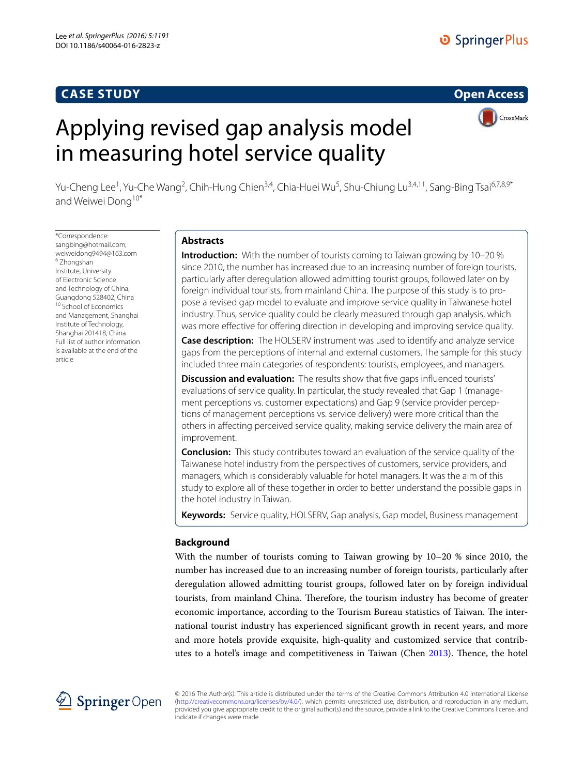# **CASE STUDY**

# O Springer Plus

# **Open Access**



# Applying revised gap analysis model in measuring hotel service quality

Yu-Cheng Lee<sup>1</sup>, Yu-Che Wang<sup>2</sup>, Chih-Hung Chien<sup>3,4</sup>, Chia-Huei Wu<sup>5</sup>, Shu-Chiung Lu<sup>3,4,11</sup>, Sang-Bing Tsai<sup>6,7,8,9\*</sup> and Weiwei Dong<sup>10\*</sup>

\*Correspondence: sangbing@hotmail.com; weiweidong9494@163.com 6 Zhongshan Institute, University of Electronic Science and Technology of China, Guangdong 528402, China <sup>10</sup> School of Economics and Management, Shanghai Institute of Technology, Shanghai 201418, China Full list of author information is available at the end of the article

## **Abstracts**

**Introduction:** With the number of tourists coming to Taiwan growing by 10–20 % since 2010, the number has increased due to an increasing number of foreign tourists, particularly after deregulation allowed admitting tourist groups, followed later on by foreign individual tourists, from mainland China. The purpose of this study is to propose a revised gap model to evaluate and improve service quality in Taiwanese hotel industry. Thus, service quality could be clearly measured through gap analysis, which was more effective for offering direction in developing and improving service quality.

**Case description:** The HOLSERV instrument was used to identify and analyze service gaps from the perceptions of internal and external customers. The sample for this study included three main categories of respondents: tourists, employees, and managers.

**Discussion and evaluation:** The results show that five gaps influenced tourists' evaluations of service quality. In particular, the study revealed that Gap 1 (management perceptions vs. customer expectations) and Gap 9 (service provider perceptions of management perceptions vs. service delivery) were more critical than the others in affecting perceived service quality, making service delivery the main area of improvement.

**Conclusion:** This study contributes toward an evaluation of the service quality of the Taiwanese hotel industry from the perspectives of customers, service providers, and managers, which is considerably valuable for hotel managers. It was the aim of this study to explore all of these together in order to better understand the possible gaps in the hotel industry in Taiwan.

**Keywords:** Service quality, HOLSERV, Gap analysis, Gap model, Business management

### **Background**

With the number of tourists coming to Taiwan growing by  $10-20$  % since 2010, the number has increased due to an increasing number of foreign tourists, particularly after deregulation allowed admitting tourist groups, followed later on by foreign individual tourists, from mainland China. Therefore, the tourism industry has become of greater economic importance, according to the Tourism Bureau statistics of Taiwan. The international tourist industry has experienced significant growth in recent years, and more and more hotels provide exquisite, high-quality and customized service that contributes to a hotel's image and competitiveness in Taiwan (Chen [2013](#page-12-0)). Thence, the hotel



© 2016 The Author(s). This article is distributed under the terms of the Creative Commons Attribution 4.0 International License [\(http://creativecommons.org/licenses/by/4.0/](http://creativecommons.org/licenses/by/4.0/)), which permits unrestricted use, distribution, and reproduction in any medium, provided you give appropriate credit to the original author(s) and the source, provide a link to the Creative Commons license, and indicate if changes were made.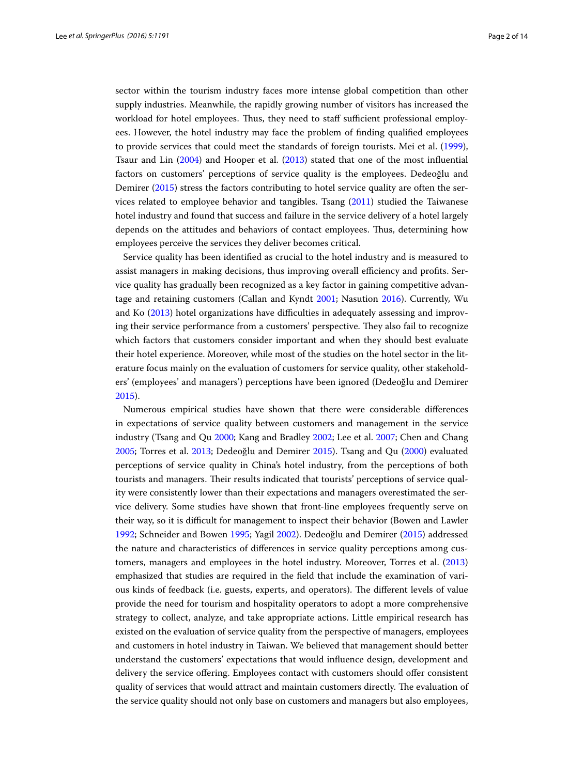sector within the tourism industry faces more intense global competition than other supply industries. Meanwhile, the rapidly growing number of visitors has increased the workload for hotel employees. Thus, they need to staff sufficient professional employees. However, the hotel industry may face the problem of finding qualified employees to provide services that could meet the standards of foreign tourists. Mei et al. ([1999](#page-12-1)), Tsaur and Lin [\(2004\)](#page-12-2) and Hooper et al. ([2013\)](#page-12-3) stated that one of the most influential factors on customers' perceptions of service quality is the employees. Dedeoğlu and Demirer [\(2015\)](#page-12-4) stress the factors contributing to hotel service quality are often the services related to employee behavior and tangibles. Tsang ([2011](#page-12-5)) studied the Taiwanese hotel industry and found that success and failure in the service delivery of a hotel largely depends on the attitudes and behaviors of contact employees. Thus, determining how employees perceive the services they deliver becomes critical.

Service quality has been identified as crucial to the hotel industry and is measured to assist managers in making decisions, thus improving overall efficiency and profits. Service quality has gradually been recognized as a key factor in gaining competitive advantage and retaining customers (Callan and Kyndt [2001;](#page-12-6) Nasution [2016](#page-12-7)). Currently, Wu and Ko ([2013](#page-13-0)) hotel organizations have difficulties in adequately assessing and improving their service performance from a customers' perspective. They also fail to recognize which factors that customers consider important and when they should best evaluate their hotel experience. Moreover, while most of the studies on the hotel sector in the literature focus mainly on the evaluation of customers for service quality, other stakeholders' (employees' and managers') perceptions have been ignored (Dedeoğlu and Demirer [2015](#page-12-4)).

Numerous empirical studies have shown that there were considerable differences in expectations of service quality between customers and management in the service industry (Tsang and Qu [2000](#page-12-8); Kang and Bradley [2002;](#page-12-9) Lee et al. [2007](#page-12-10); Chen and Chang [2005](#page-12-11); Torres et al. [2013](#page-12-12); Dedeoğlu and Demirer [2015](#page-12-4)). Tsang and Qu ([2000](#page-12-8)) evaluated perceptions of service quality in China's hotel industry, from the perceptions of both tourists and managers. Their results indicated that tourists' perceptions of service quality were consistently lower than their expectations and managers overestimated the service delivery. Some studies have shown that front-line employees frequently serve on their way, so it is difficult for management to inspect their behavior (Bowen and Lawler [1992](#page-12-13); Schneider and Bowen [1995;](#page-12-14) Yagil [2002\)](#page-13-1). Dedeoğlu and Demirer [\(2015\)](#page-12-4) addressed the nature and characteristics of differences in service quality perceptions among customers, managers and employees in the hotel industry. Moreover, Torres et al. ([2013](#page-12-12)) emphasized that studies are required in the field that include the examination of various kinds of feedback (i.e. guests, experts, and operators). The different levels of value provide the need for tourism and hospitality operators to adopt a more comprehensive strategy to collect, analyze, and take appropriate actions. Little empirical research has existed on the evaluation of service quality from the perspective of managers, employees and customers in hotel industry in Taiwan. We believed that management should better understand the customers' expectations that would influence design, development and delivery the service offering. Employees contact with customers should offer consistent quality of services that would attract and maintain customers directly. The evaluation of the service quality should not only base on customers and managers but also employees,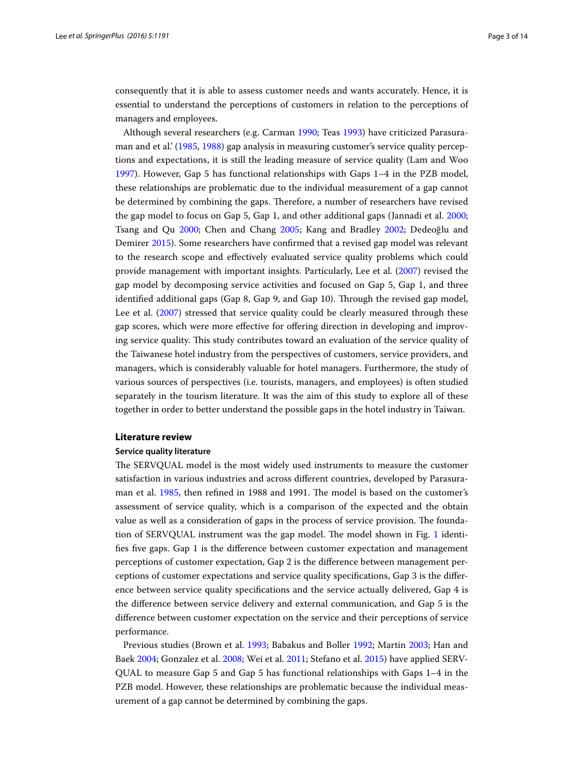consequently that it is able to assess customer needs and wants accurately. Hence, it is essential to understand the perceptions of customers in relation to the perceptions of managers and employees.

Although several researchers (e.g. Carman [1990](#page-12-15); Teas [1993\)](#page-12-16) have criticized Parasuraman and et al.' ([1985](#page-12-17), [1988\)](#page-12-18) gap analysis in measuring customer's service quality perceptions and expectations, it is still the leading measure of service quality (Lam and Woo [1997](#page-12-19)). However, Gap 5 has functional relationships with Gaps 1–4 in the PZB model, these relationships are problematic due to the individual measurement of a gap cannot be determined by combining the gaps. Therefore, a number of researchers have revised the gap model to focus on Gap 5, Gap 1, and other additional gaps (Jannadi et al. [2000](#page-12-20); Tsang and Qu [2000;](#page-12-8) Chen and Chang [2005;](#page-12-11) Kang and Bradley [2002;](#page-12-9) Dedeoğlu and Demirer [2015](#page-12-4)). Some researchers have confirmed that a revised gap model was relevant to the research scope and effectively evaluated service quality problems which could provide management with important insights. Particularly, Lee et al. [\(2007](#page-12-10)) revised the gap model by decomposing service activities and focused on Gap 5, Gap 1, and three identified additional gaps (Gap 8, Gap 9, and Gap 10). Through the revised gap model, Lee et al. [\(2007](#page-12-10)) stressed that service quality could be clearly measured through these gap scores, which were more effective for offering direction in developing and improving service quality. This study contributes toward an evaluation of the service quality of the Taiwanese hotel industry from the perspectives of customers, service providers, and managers, which is considerably valuable for hotel managers. Furthermore, the study of various sources of perspectives (i.e. tourists, managers, and employees) is often studied separately in the tourism literature. It was the aim of this study to explore all of these together in order to better understand the possible gaps in the hotel industry in Taiwan.

#### **Literature review**

#### **Service quality literature**

The SERVQUAL model is the most widely used instruments to measure the customer satisfaction in various industries and across different countries, developed by Parasuraman et al. [1985](#page-12-17), then refined in 1988 and 1991. The model is based on the customer's assessment of service quality, which is a comparison of the expected and the obtain value as well as a consideration of gaps in the process of service provision. The foundation of SERVQUAL instrument was the gap model. The model shown in Fig. [1](#page-3-0) identifies five gaps. Gap 1 is the difference between customer expectation and management perceptions of customer expectation, Gap 2 is the difference between management perceptions of customer expectations and service quality specifications, Gap 3 is the difference between service quality specifications and the service actually delivered, Gap 4 is the difference between service delivery and external communication, and Gap 5 is the difference between customer expectation on the service and their perceptions of service performance.

Previous studies (Brown et al. [1993;](#page-12-21) Babakus and Boller [1992;](#page-12-22) Martin [2003;](#page-12-23) Han and Baek [2004;](#page-12-24) Gonzalez et al. [2008;](#page-12-25) Wei et al. [2011](#page-13-2); Stefano et al. [2015\)](#page-12-26) have applied SERV-QUAL to measure Gap 5 and Gap 5 has functional relationships with Gaps 1–4 in the PZB model. However, these relationships are problematic because the individual measurement of a gap cannot be determined by combining the gaps.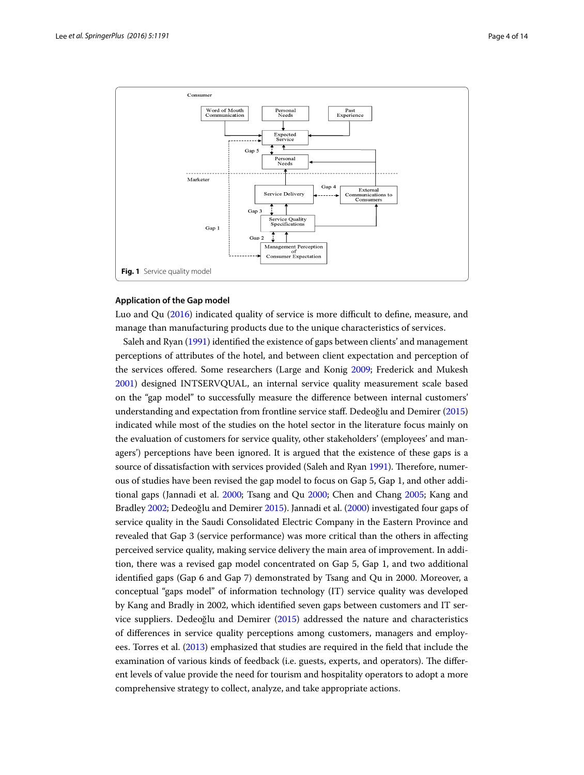

#### <span id="page-3-0"></span>**Application of the Gap model**

Luo and Qu ([2016](#page-12-23)) indicated quality of service is more difficult to define, measure, and manage than manufacturing products due to the unique characteristics of services.

Saleh and Ryan ([1991](#page-12-27)) identified the existence of gaps between clients' and management perceptions of attributes of the hotel, and between client expectation and perception of the services offered. Some researchers (Large and Konig [2009;](#page-12-28) Frederick and Mukesh [2001](#page-12-29)) designed INTSERVQUAL, an internal service quality measurement scale based on the "gap model" to successfully measure the difference between internal customers' understanding and expectation from frontline service staff. Dedeoğlu and Demirer [\(2015](#page-12-4)) indicated while most of the studies on the hotel sector in the literature focus mainly on the evaluation of customers for service quality, other stakeholders' (employees' and managers') perceptions have been ignored. It is argued that the existence of these gaps is a source of dissatisfaction with services provided (Saleh and Ryan [1991\)](#page-12-27). Therefore, numerous of studies have been revised the gap model to focus on Gap 5, Gap 1, and other additional gaps (Jannadi et al. [2000](#page-12-20); Tsang and Qu [2000;](#page-12-8) Chen and Chang [2005](#page-12-11); Kang and Bradley [2002](#page-12-9); Dedeoğlu and Demirer [2015\)](#page-12-4). Jannadi et al. [\(2000\)](#page-12-20) investigated four gaps of service quality in the Saudi Consolidated Electric Company in the Eastern Province and revealed that Gap 3 (service performance) was more critical than the others in affecting perceived service quality, making service delivery the main area of improvement. In addition, there was a revised gap model concentrated on Gap 5, Gap 1, and two additional identified gaps (Gap 6 and Gap 7) demonstrated by Tsang and Qu in 2000. Moreover, a conceptual "gaps model" of information technology (IT) service quality was developed by Kang and Bradly in 2002, which identified seven gaps between customers and IT service suppliers. Dedeoğlu and Demirer [\(2015\)](#page-12-4) addressed the nature and characteristics of differences in service quality perceptions among customers, managers and employees. Torres et al. ([2013](#page-12-12)) emphasized that studies are required in the field that include the examination of various kinds of feedback (i.e. guests, experts, and operators). The different levels of value provide the need for tourism and hospitality operators to adopt a more comprehensive strategy to collect, analyze, and take appropriate actions.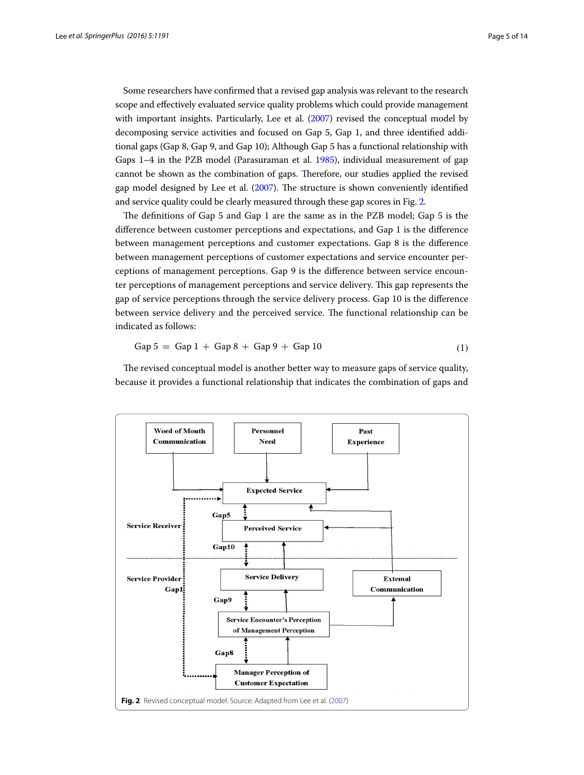Some researchers have confirmed that a revised gap analysis was relevant to the research scope and effectively evaluated service quality problems which could provide management with important insights. Particularly, Lee et al. [\(2007](#page-12-10)) revised the conceptual model by decomposing service activities and focused on Gap 5, Gap 1, and three identified additional gaps (Gap 8, Gap 9, and Gap 10); Although Gap 5 has a functional relationship with Gaps 1–4 in the PZB model (Parasuraman et al. [1985](#page-12-17)), individual measurement of gap cannot be shown as the combination of gaps. Therefore, our studies applied the revised gap model designed by Lee et al. ([2007\)](#page-12-10). The structure is shown conveniently identified and service quality could be clearly measured through these gap scores in Fig. [2](#page-4-0).

The definitions of Gap 5 and Gap 1 are the same as in the PZB model; Gap 5 is the difference between customer perceptions and expectations, and Gap 1 is the difference between management perceptions and customer expectations. Gap 8 is the difference between management perceptions of customer expectations and service encounter perceptions of management perceptions. Gap 9 is the difference between service encounter perceptions of management perceptions and service delivery. This gap represents the gap of service perceptions through the service delivery process. Gap 10 is the difference between service delivery and the perceived service. The functional relationship can be indicated as follows:

$$
Gap 5 = Gap 1 + Gap 8 + Gap 9 + Gap 10
$$
\n(1)

The revised conceptual model is another better way to measure gaps of service quality, because it provides a functional relationship that indicates the combination of gaps and

<span id="page-4-0"></span>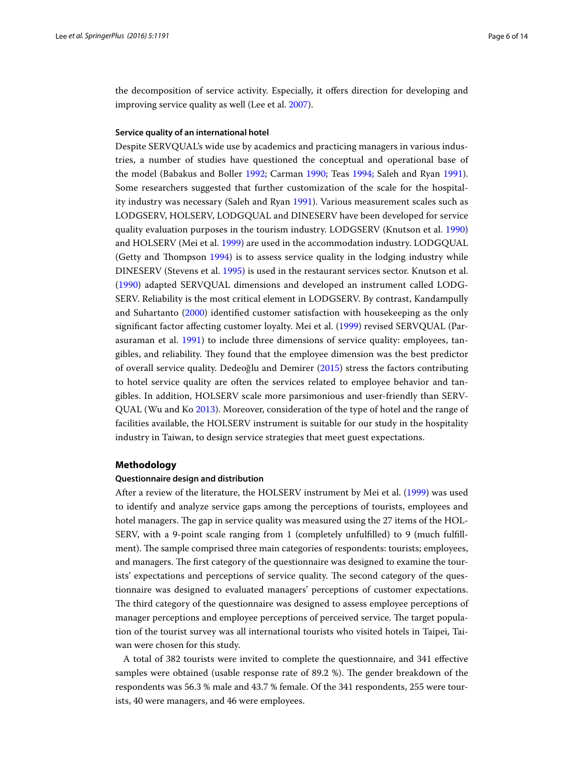the decomposition of service activity. Especially, it offers direction for developing and improving service quality as well (Lee et al. [2007](#page-12-10)).

#### **Service quality of an international hotel**

Despite SERVQUAL's wide use by academics and practicing managers in various industries, a number of studies have questioned the conceptual and operational base of the model (Babakus and Boller [1992](#page-12-22); Carman [1990](#page-12-15); Teas [1994](#page-12-30); Saleh and Ryan [1991](#page-12-27)). Some researchers suggested that further customization of the scale for the hospitality industry was necessary (Saleh and Ryan [1991\)](#page-12-27). Various measurement scales such as LODGSERV, HOLSERV, LODGQUAL and DINESERV have been developed for service quality evaluation purposes in the tourism industry. LODGSERV (Knutson et al. [1990](#page-12-31)) and HOLSERV (Mei et al. [1999\)](#page-12-1) are used in the accommodation industry. LODGQUAL (Getty and Thompson [1994\)](#page-12-32) is to assess service quality in the lodging industry while DINESERV (Stevens et al. [1995\)](#page-12-33) is used in the restaurant services sector. Knutson et al. ([1990\)](#page-12-31) adapted SERVQUAL dimensions and developed an instrument called LODG-SERV. Reliability is the most critical element in LODGSERV. By contrast, Kandampully and Suhartanto ([2000\)](#page-12-34) identified customer satisfaction with housekeeping as the only significant factor affecting customer loyalty. Mei et al. ([1999\)](#page-12-1) revised SERVQUAL (Parasuraman et al. [1991](#page-12-17)) to include three dimensions of service quality: employees, tangibles, and reliability. They found that the employee dimension was the best predictor of overall service quality. Dedeoğlu and Demirer ([2015](#page-12-4)) stress the factors contributing to hotel service quality are often the services related to employee behavior and tangibles. In addition, HOLSERV scale more parsimonious and user-friendly than SERV-QUAL (Wu and Ko [2013\)](#page-13-0). Moreover, consideration of the type of hotel and the range of facilities available, the HOLSERV instrument is suitable for our study in the hospitality industry in Taiwan, to design service strategies that meet guest expectations.

#### **Methodology**

#### **Questionnaire design and distribution**

After a review of the literature, the HOLSERV instrument by Mei et al. ([1999\)](#page-12-1) was used to identify and analyze service gaps among the perceptions of tourists, employees and hotel managers. The gap in service quality was measured using the 27 items of the HOL-SERV, with a 9-point scale ranging from 1 (completely unfulfilled) to 9 (much fulfillment). The sample comprised three main categories of respondents: tourists; employees, and managers. The first category of the questionnaire was designed to examine the tourists' expectations and perceptions of service quality. The second category of the questionnaire was designed to evaluated managers' perceptions of customer expectations. The third category of the questionnaire was designed to assess employee perceptions of manager perceptions and employee perceptions of perceived service. The target population of the tourist survey was all international tourists who visited hotels in Taipei, Taiwan were chosen for this study.

A total of 382 tourists were invited to complete the questionnaire, and 341 effective samples were obtained (usable response rate of 89.2 %). The gender breakdown of the respondents was 56.3 % male and 43.7 % female. Of the 341 respondents, 255 were tourists, 40 were managers, and 46 were employees.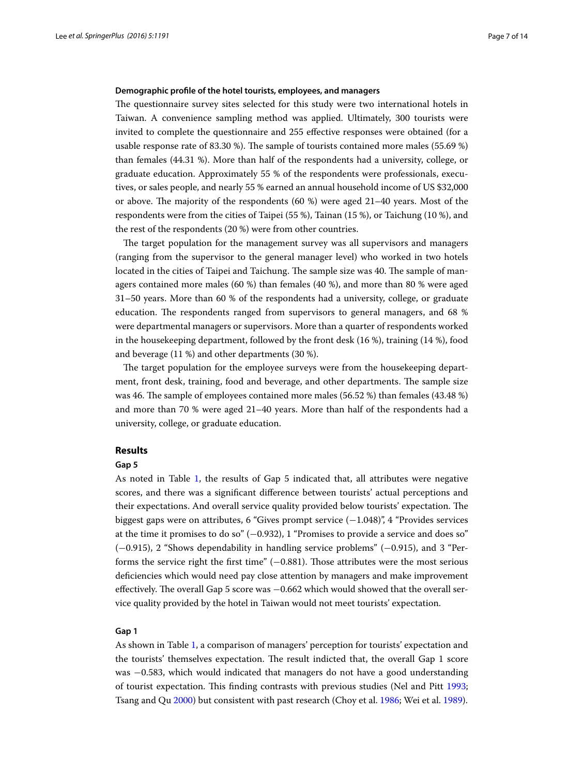#### **Demographic profile of the hotel tourists, employees, and managers**

The questionnaire survey sites selected for this study were two international hotels in Taiwan. A convenience sampling method was applied. Ultimately, 300 tourists were invited to complete the questionnaire and 255 effective responses were obtained (for a usable response rate of 83.30 %). The sample of tourists contained more males (55.69 %) than females (44.31 %). More than half of the respondents had a university, college, or graduate education. Approximately 55 % of the respondents were professionals, executives, or sales people, and nearly 55 % earned an annual household income of US \$32,000 or above. The majority of the respondents (60 %) were aged 21–40 years. Most of the respondents were from the cities of Taipei (55 %), Tainan (15 %), or Taichung (10 %), and the rest of the respondents (20 %) were from other countries.

The target population for the management survey was all supervisors and managers (ranging from the supervisor to the general manager level) who worked in two hotels located in the cities of Taipei and Taichung. The sample size was 40. The sample of managers contained more males (60 %) than females (40 %), and more than 80 % were aged 31–50 years. More than 60 % of the respondents had a university, college, or graduate education. The respondents ranged from supervisors to general managers, and 68 % were departmental managers or supervisors. More than a quarter of respondents worked in the housekeeping department, followed by the front desk (16 %), training (14 %), food and beverage (11 %) and other departments (30 %).

The target population for the employee surveys were from the housekeeping department, front desk, training, food and beverage, and other departments. The sample size was 46. The sample of employees contained more males (56.52 %) than females (43.48 %) and more than 70 % were aged 21–40 years. More than half of the respondents had a university, college, or graduate education.

#### **Results**

#### **Gap 5**

As noted in Table [1](#page-7-0), the results of Gap 5 indicated that, all attributes were negative scores, and there was a significant difference between tourists' actual perceptions and their expectations. And overall service quality provided below tourists' expectation. The biggest gaps were on attributes, 6 "Gives prompt service  $(-1.048)$ ", 4 "Provides services" at the time it promises to do so" (−0.932), 1 "Promises to provide a service and does so" (−0.915), 2 "Shows dependability in handling service problems" (−0.915), and 3 "Performs the service right the first time" (−0.881). Those attributes were the most serious deficiencies which would need pay close attention by managers and make improvement effectively. The overall Gap 5 score was  $-0.662$  which would showed that the overall service quality provided by the hotel in Taiwan would not meet tourists' expectation.

#### **Gap 1**

As shown in Table [1,](#page-7-0) a comparison of managers' perception for tourists' expectation and the tourists' themselves expectation. The result indicted that, the overall Gap 1 score was −0.583, which would indicated that managers do not have a good understanding of tourist expectation. This finding contrasts with previous studies (Nel and Pitt [1993](#page-12-35); Tsang and Qu [2000\)](#page-12-8) but consistent with past research (Choy et al. [1986](#page-12-36); Wei et al. [1989\)](#page-12-37).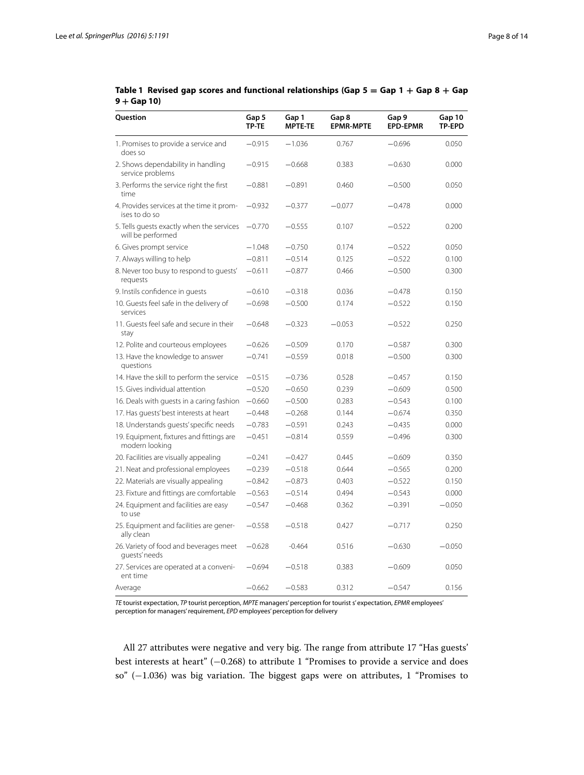| Question                                                       | Gap 5<br>TP-TE | Gap 1<br><b>MPTE-TE</b> | Gap 8<br><b>EPMR-MPTE</b> | Gap 9<br><b>EPD-EPMR</b> | Gap 10<br>TP-EPD |
|----------------------------------------------------------------|----------------|-------------------------|---------------------------|--------------------------|------------------|
| 1. Promises to provide a service and<br>does so                | $-0.915$       | $-1.036$                | 0.767                     | $-0.696$                 | 0.050            |
| 2. Shows dependability in handling<br>service problems         | $-0.915$       | $-0.668$                | 0.383                     | $-0.630$                 | 0.000            |
| 3. Performs the service right the first<br>time                | $-0.881$       | $-0.891$                | 0.460                     | $-0.500$                 | 0.050            |
| 4. Provides services at the time it prom-<br>ises to do so     | $-0.932$       | $-0.377$                | $-0.077$                  | $-0.478$                 | 0.000            |
| 5. Tells guests exactly when the services<br>will be performed | $-0.770$       | $-0.555$                | 0.107                     | $-0.522$                 | 0.200            |
| 6. Gives prompt service                                        | $-1.048$       | $-0.750$                | 0.174                     | $-0.522$                 | 0.050            |
| 7. Always willing to help                                      | $-0.811$       | $-0.514$                | 0.125                     | $-0.522$                 | 0.100            |
| 8. Never too busy to respond to quests'<br>requests            | $-0.611$       | $-0.877$                | 0.466                     | $-0.500$                 | 0.300            |
| 9. Instils confidence in quests                                | $-0.610$       | $-0.318$                | 0.036                     | $-0.478$                 | 0.150            |
| 10. Guests feel safe in the delivery of<br>services            | $-0.698$       | $-0.500$                | 0.174                     | $-0.522$                 | 0.150            |
| 11. Guests feel safe and secure in their<br>stay               | $-0.648$       | $-0.323$                | $-0.053$                  | $-0.522$                 | 0.250            |
| 12. Polite and courteous employees                             | $-0.626$       | $-0.509$                | 0.170                     | $-0.587$                 | 0.300            |
| 13. Have the knowledge to answer<br>questions                  | $-0.741$       | $-0.559$                | 0.018                     | $-0.500$                 | 0.300            |
| 14. Have the skill to perform the service                      | $-0.515$       | $-0.736$                | 0.528                     | $-0.457$                 | 0.150            |
| 15. Gives individual attention                                 | $-0.520$       | $-0.650$                | 0.239                     | $-0.609$                 | 0.500            |
| 16. Deals with quests in a caring fashion                      | $-0.660$       | $-0.500$                | 0.283                     | $-0.543$                 | 0.100            |
| 17. Has quests' best interests at heart                        | $-0.448$       | $-0.268$                | 0.144                     | $-0.674$                 | 0.350            |
| 18. Understands quests' specific needs                         | $-0.783$       | $-0.591$                | 0.243                     | $-0.435$                 | 0.000            |
| 19. Equipment, fixtures and fittings are<br>modern looking     | $-0.451$       | $-0.814$                | 0.559                     | $-0.496$                 | 0.300            |
| 20. Facilities are visually appealing                          | $-0.241$       | $-0.427$                | 0.445                     | $-0.609$                 | 0.350            |
| 21. Neat and professional employees                            | $-0.239$       | $-0.518$                | 0.644                     | $-0.565$                 | 0.200            |
| 22. Materials are visually appealing                           | $-0.842$       | $-0.873$                | 0.403                     | $-0.522$                 | 0.150            |
| 23. Fixture and fittings are comfortable                       | $-0.563$       | $-0.514$                | 0.494                     | $-0.543$                 | 0.000            |
| 24. Equipment and facilities are easy<br>to use                | $-0.547$       | $-0.468$                | 0.362                     | $-0.391$                 | $-0.050$         |
| 25. Equipment and facilities are gener-<br>ally clean          | $-0.558$       | $-0.518$                | 0.427                     | $-0.717$                 | 0.250            |
| 26. Variety of food and beverages meet<br>quests' needs        | $-0.628$       | $-0.464$                | 0.516                     | $-0.630$                 | $-0.050$         |
| 27. Services are operated at a conveni-<br>ent time            | $-0.694$       | $-0.518$                | 0.383                     | $-0.609$                 | 0.050            |
| Average                                                        | $-0.662$       | $-0.583$                | 0.312                     | $-0.547$                 | 0.156            |

<span id="page-7-0"></span>**Table 1 Revised gap scores and functional relationships (Gap 5 = Gap 1 + Gap 8 + Gap 9 + Gap 10)**

*TE* tourist expectation, *TP* tourist perception, *MPTE* managers' perception for tourist s' expectation, *EPMR* employees' perception for managers' requirement, *EPD* employees' perception for delivery

All 27 attributes were negative and very big. The range from attribute 17 "Has guests' best interests at heart" (−0.268) to attribute 1 "Promises to provide a service and does so" (−1.036) was big variation. The biggest gaps were on attributes, 1 "Promises to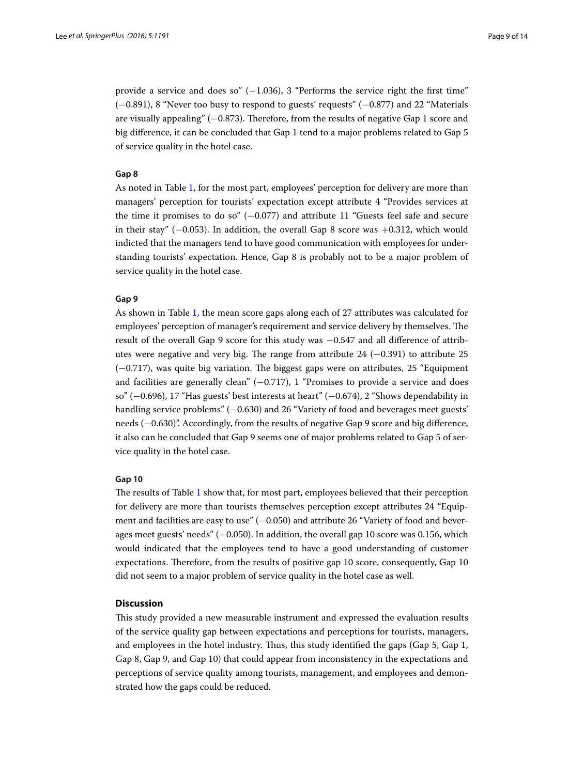provide a service and does so"  $(-1.036)$ , 3 "Performs the service right the first time" (−0.891), 8 "Never too busy to respond to guests' requests" (−0.877) and 22 "Materials are visually appealing" (−0.873). Therefore, from the results of negative Gap 1 score and big difference, it can be concluded that Gap 1 tend to a major problems related to Gap 5 of service quality in the hotel case.

#### **Gap 8**

As noted in Table [1](#page-7-0), for the most part, employees' perception for delivery are more than managers' perception for tourists' expectation except attribute 4 "Provides services at the time it promises to do so" (−0.077) and attribute 11 "Guests feel safe and secure in their stay" ( $-0.053$ ). In addition, the overall Gap 8 score was  $+0.312$ , which would indicted that the managers tend to have good communication with employees for understanding tourists' expectation. Hence, Gap 8 is probably not to be a major problem of service quality in the hotel case.

#### **Gap 9**

As shown in Table [1](#page-7-0), the mean score gaps along each of 27 attributes was calculated for employees' perception of manager's requirement and service delivery by themselves. The result of the overall Gap 9 score for this study was −0.547 and all difference of attributes were negative and very big. The range from attribute 24 (−0.391) to attribute 25 (−0.717), was quite big variation. The biggest gaps were on attributes, 25 "Equipment and facilities are generally clean" (−0.717), 1 "Promises to provide a service and does so" (−0.696), 17 "Has guests' best interests at heart" (−0.674), 2 "Shows dependability in handling service problems" (−0.630) and 26 "Variety of food and beverages meet guests' needs (−0.630)". Accordingly, from the results of negative Gap 9 score and big difference, it also can be concluded that Gap 9 seems one of major problems related to Gap 5 of service quality in the hotel case.

#### **Gap 10**

The results of Table [1](#page-7-0) show that, for most part, employees believed that their perception for delivery are more than tourists themselves perception except attributes 24 "Equipment and facilities are easy to use" (−0.050) and attribute 26 "Variety of food and beverages meet guests' needs" (−0.050). In addition, the overall gap 10 score was 0.156, which would indicated that the employees tend to have a good understanding of customer expectations. Therefore, from the results of positive gap 10 score, consequently, Gap 10 did not seem to a major problem of service quality in the hotel case as well.

#### **Discussion**

This study provided a new measurable instrument and expressed the evaluation results of the service quality gap between expectations and perceptions for tourists, managers, and employees in the hotel industry. Thus, this study identified the gaps (Gap 5, Gap 1, Gap 8, Gap 9, and Gap 10) that could appear from inconsistency in the expectations and perceptions of service quality among tourists, management, and employees and demonstrated how the gaps could be reduced.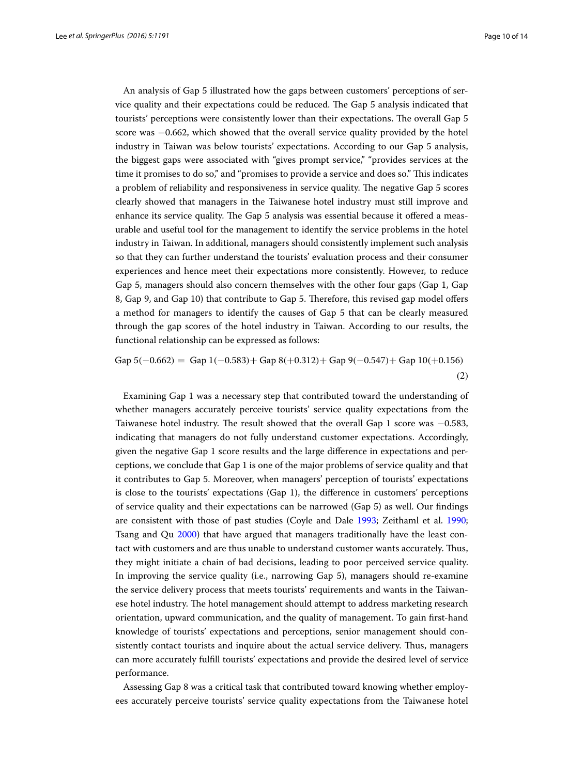An analysis of Gap 5 illustrated how the gaps between customers' perceptions of service quality and their expectations could be reduced. The Gap 5 analysis indicated that tourists' perceptions were consistently lower than their expectations. The overall Gap 5 score was −0.662, which showed that the overall service quality provided by the hotel industry in Taiwan was below tourists' expectations. According to our Gap 5 analysis, the biggest gaps were associated with "gives prompt service," "provides services at the time it promises to do so," and "promises to provide a service and does so." This indicates a problem of reliability and responsiveness in service quality. The negative Gap 5 scores clearly showed that managers in the Taiwanese hotel industry must still improve and enhance its service quality. The Gap 5 analysis was essential because it offered a measurable and useful tool for the management to identify the service problems in the hotel industry in Taiwan. In additional, managers should consistently implement such analysis so that they can further understand the tourists' evaluation process and their consumer experiences and hence meet their expectations more consistently. However, to reduce Gap 5, managers should also concern themselves with the other four gaps (Gap 1, Gap 8, Gap 9, and Gap 10) that contribute to Gap 5. Therefore, this revised gap model offers a method for managers to identify the causes of Gap 5 that can be clearly measured through the gap scores of the hotel industry in Taiwan. According to our results, the functional relationship can be expressed as follows:

(2) Gap 5(−0.662) = Gap 1(−0.583)+ Gap 8(+0.312)+ Gap 9(−0.547)+ Gap 10(+0.156)

Examining Gap 1 was a necessary step that contributed toward the understanding of whether managers accurately perceive tourists' service quality expectations from the Taiwanese hotel industry. The result showed that the overall Gap 1 score was −0.583, indicating that managers do not fully understand customer expectations. Accordingly, given the negative Gap 1 score results and the large difference in expectations and perceptions, we conclude that Gap 1 is one of the major problems of service quality and that it contributes to Gap 5. Moreover, when managers' perception of tourists' expectations is close to the tourists' expectations (Gap 1), the difference in customers' perceptions of service quality and their expectations can be narrowed (Gap 5) as well. Our findings are consistent with those of past studies (Coyle and Dale [1993;](#page-12-38) Zeithaml et al. [1990](#page-13-3); Tsang and Qu [2000\)](#page-12-8) that have argued that managers traditionally have the least contact with customers and are thus unable to understand customer wants accurately. Thus, they might initiate a chain of bad decisions, leading to poor perceived service quality. In improving the service quality (i.e., narrowing Gap 5), managers should re-examine the service delivery process that meets tourists' requirements and wants in the Taiwanese hotel industry. The hotel management should attempt to address marketing research orientation, upward communication, and the quality of management. To gain first-hand knowledge of tourists' expectations and perceptions, senior management should consistently contact tourists and inquire about the actual service delivery. Thus, managers can more accurately fulfill tourists' expectations and provide the desired level of service performance.

Assessing Gap 8 was a critical task that contributed toward knowing whether employees accurately perceive tourists' service quality expectations from the Taiwanese hotel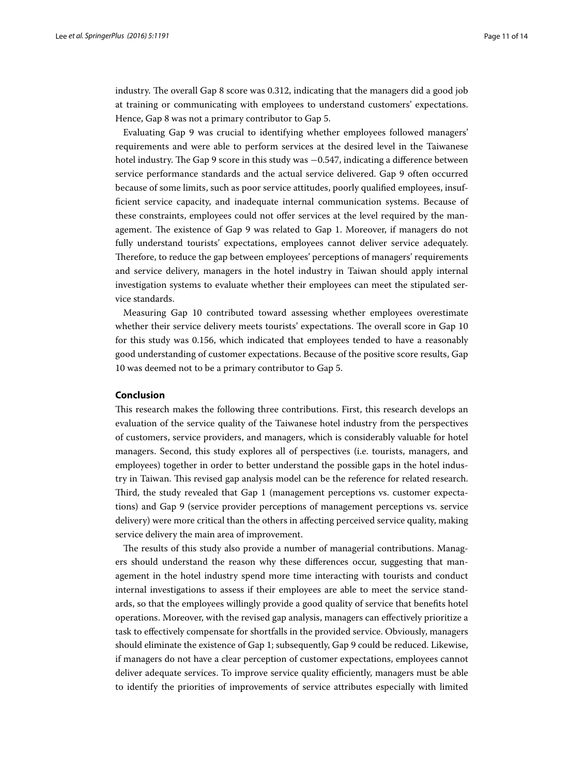industry. The overall Gap 8 score was 0.312, indicating that the managers did a good job at training or communicating with employees to understand customers' expectations. Hence, Gap 8 was not a primary contributor to Gap 5.

Evaluating Gap 9 was crucial to identifying whether employees followed managers' requirements and were able to perform services at the desired level in the Taiwanese hotel industry. The Gap 9 score in this study was −0.547, indicating a difference between service performance standards and the actual service delivered. Gap 9 often occurred because of some limits, such as poor service attitudes, poorly qualified employees, insufficient service capacity, and inadequate internal communication systems. Because of these constraints, employees could not offer services at the level required by the management. The existence of Gap 9 was related to Gap 1. Moreover, if managers do not fully understand tourists' expectations, employees cannot deliver service adequately. Therefore, to reduce the gap between employees' perceptions of managers' requirements and service delivery, managers in the hotel industry in Taiwan should apply internal investigation systems to evaluate whether their employees can meet the stipulated service standards.

Measuring Gap 10 contributed toward assessing whether employees overestimate whether their service delivery meets tourists' expectations. The overall score in Gap 10 for this study was 0.156, which indicated that employees tended to have a reasonably good understanding of customer expectations. Because of the positive score results, Gap 10 was deemed not to be a primary contributor to Gap 5.

### **Conclusion**

This research makes the following three contributions. First, this research develops an evaluation of the service quality of the Taiwanese hotel industry from the perspectives of customers, service providers, and managers, which is considerably valuable for hotel managers. Second, this study explores all of perspectives (i.e. tourists, managers, and employees) together in order to better understand the possible gaps in the hotel industry in Taiwan. This revised gap analysis model can be the reference for related research. Third, the study revealed that Gap 1 (management perceptions vs. customer expectations) and Gap 9 (service provider perceptions of management perceptions vs. service delivery) were more critical than the others in affecting perceived service quality, making service delivery the main area of improvement.

The results of this study also provide a number of managerial contributions. Managers should understand the reason why these differences occur, suggesting that management in the hotel industry spend more time interacting with tourists and conduct internal investigations to assess if their employees are able to meet the service standards, so that the employees willingly provide a good quality of service that benefits hotel operations. Moreover, with the revised gap analysis, managers can effectively prioritize a task to effectively compensate for shortfalls in the provided service. Obviously, managers should eliminate the existence of Gap 1; subsequently, Gap 9 could be reduced. Likewise, if managers do not have a clear perception of customer expectations, employees cannot deliver adequate services. To improve service quality efficiently, managers must be able to identify the priorities of improvements of service attributes especially with limited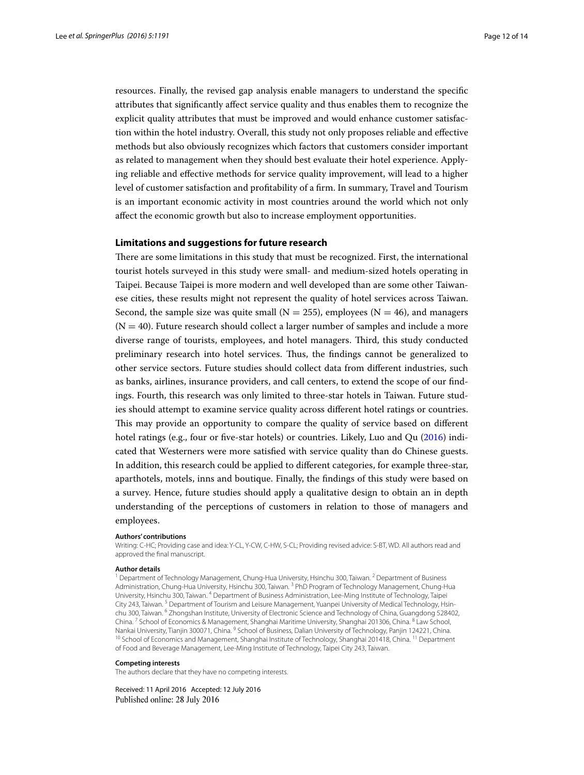resources. Finally, the revised gap analysis enable managers to understand the specific attributes that significantly affect service quality and thus enables them to recognize the explicit quality attributes that must be improved and would enhance customer satisfaction within the hotel industry. Overall, this study not only proposes reliable and effective methods but also obviously recognizes which factors that customers consider important as related to management when they should best evaluate their hotel experience. Applying reliable and effective methods for service quality improvement, will lead to a higher level of customer satisfaction and profitability of a firm. In summary, Travel and Tourism is an important economic activity in most countries around the world which not only affect the economic growth but also to increase employment opportunities.

#### **Limitations and suggestions for future research**

There are some limitations in this study that must be recognized. First, the international tourist hotels surveyed in this study were small- and medium-sized hotels operating in Taipei. Because Taipei is more modern and well developed than are some other Taiwanese cities, these results might not represent the quality of hotel services across Taiwan. Second, the sample size was quite small ( $N = 255$ ), employees ( $N = 46$ ), and managers  $(N = 40)$ . Future research should collect a larger number of samples and include a more diverse range of tourists, employees, and hotel managers. Third, this study conducted preliminary research into hotel services. Thus, the findings cannot be generalized to other service sectors. Future studies should collect data from different industries, such as banks, airlines, insurance providers, and call centers, to extend the scope of our findings. Fourth, this research was only limited to three-star hotels in Taiwan. Future studies should attempt to examine service quality across different hotel ratings or countries. This may provide an opportunity to compare the quality of service based on different hotel ratings (e.g., four or five-star hotels) or countries. Likely, Luo and Qu [\(2016](#page-12-23)) indicated that Westerners were more satisfied with service quality than do Chinese guests. In addition, this research could be applied to different categories, for example three-star, aparthotels, motels, inns and boutique. Finally, the findings of this study were based on a survey. Hence, future studies should apply a qualitative design to obtain an in depth understanding of the perceptions of customers in relation to those of managers and employees.

#### **Authors' contributions**

Writing: C-HC; Providing case and idea: Y-CL, Y-CW, C-HW, S-CL; Providing revised advice: S-BT, WD. All authors read and approved the final manuscript.

#### **Author details**

<sup>1</sup> Department of Technology Management, Chung-Hua University, Hsinchu 300, Taiwan. <sup>2</sup> Department of Business Administration, Chung-Hua University, Hsinchu 300, Taiwan. <sup>3</sup> PhD Program of Technology Management, Chung-Hua University, Hsinchu 300, Taiwan. 4 Department of Business Administration, Lee-Ming Institute of Technology, Taipei City 243, Taiwan.<sup>5</sup> Department of Tourism and Leisure Management, Yuanpei University of Medical Technology, Hsinchu 300, Taiwan. <sup>6</sup> Zhongshan Institute, University of Electronic Science and Technology of China, Guangdong 528402, China. <sup>7</sup> School of Economics & Management, Shanghai Maritime University, Shanghai 201306, China. <sup>8</sup> Law School,<br>Nankai University, Tianjin 300071, China. <sup>9</sup> School of Business, Dalian University of Technology, Panjin 1 <sup>10</sup> School of Economics and Management, Shanghai Institute of Technology, Shanghai 201418, China.<sup>11</sup> Department of Food and Beverage Management, Lee-Ming Institute of Technology, Taipei City 243, Taiwan.

#### **Competing interests**

The authors declare that they have no competing interests.

Received: 11 April 2016 Accepted: 12 July 2016Published online: 28 July 2016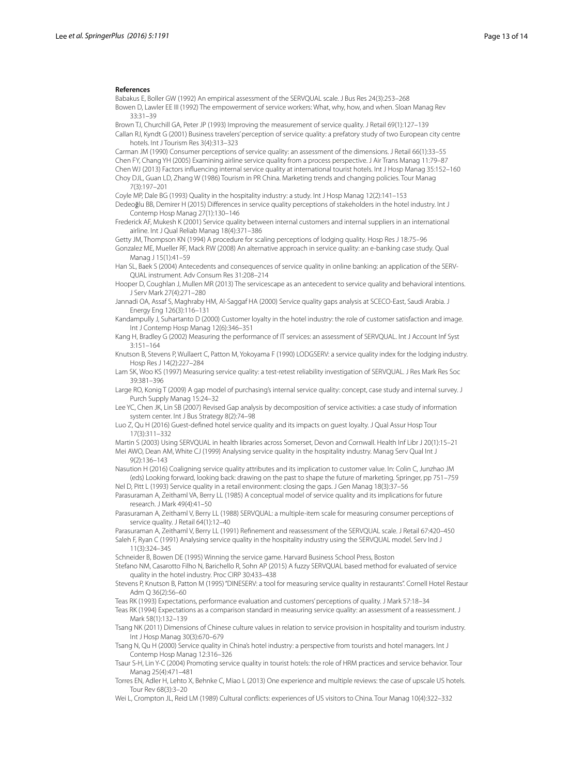#### **References**

- <span id="page-12-22"></span><span id="page-12-13"></span>Babakus E, Boller GW (1992) An empirical assessment of the SERVQUAL scale. J Bus Res 24(3):253–268 Bowen D, Lawler EE III (1992) The empowerment of service workers: What, why, how, and when. Sloan Manag Rev 33:31–39
- <span id="page-12-21"></span><span id="page-12-6"></span>Brown TJ, Churchill GA, Peter JP (1993) Improving the measurement of service quality. J Retail 69(1):127–139 Callan RJ, Kyndt G (2001) Business travelers' perception of service quality: a prefatory study of two European city centre hotels. Int J Tourism Res 3(4):313–323

<span id="page-12-15"></span><span id="page-12-11"></span><span id="page-12-0"></span>Carman JM (1990) Consumer perceptions of service quality: an assessment of the dimensions. J Retail 66(1):33–55 Chen FY, Chang YH (2005) Examining airline service quality from a process perspective. J Air Trans Manag 11:79–87 Chen WJ (2013) Factors influencing internal service quality at international tourist hotels. Int J Hosp Manag 35:152–160 Choy DJL, Guan LD, Zhang W (1986) Tourism in PR China. Marketing trends and changing policies. Tour Manag 7(3):197–201

<span id="page-12-38"></span><span id="page-12-36"></span>Coyle MP, Dale BG (1993) Quality in the hospitality industry: a study. Int J Hosp Manag 12(2):141–153

<span id="page-12-4"></span>Dedeoğlu BB, Demirer H (2015) Differences in service quality perceptions of stakeholders in the hotel industry. Int J Contemp Hosp Manag 27(1):130–146

<span id="page-12-29"></span>Frederick AF, Mukesh K (2001) Service quality between internal customers and internal suppliers in an international airline. Int J Qual Reliab Manag 18(4):371–386

<span id="page-12-32"></span><span id="page-12-25"></span>Getty JM, Thompson KN (1994) A procedure for scaling perceptions of lodging quality. Hosp Res J 18:75–96 Gonzalez ME, Mueller RF, Mack RW (2008) An alternative approach in service quality: an e-banking case study. Qual

<span id="page-12-24"></span>Manag J 15(1):41–59 Han SL, Baek S (2004) Antecedents and consequences of service quality in online banking: an application of the SERV-QUAL instrument. Adv Consum Res 31:208–214

<span id="page-12-3"></span>Hooper D, Coughlan J, Mullen MR (2013) The servicescape as an antecedent to service quality and behavioral intentions. J Serv Mark 27(4):271–280

<span id="page-12-20"></span>Jannadi OA, Assaf S, Maghraby HM, Al-Saggaf HA (2000) Service quality gaps analysis at SCECO-East, Saudi Arabia. J Energy Eng 126(3):116–131

<span id="page-12-34"></span>Kandampully J, Suhartanto D (2000) Customer loyalty in the hotel industry: the role of customer satisfaction and image. Int J Contemp Hosp Manag 12(6):346–351

<span id="page-12-9"></span>Kang H, Bradley G (2002) Measuring the performance of IT services: an assessment of SERVQUAL. Int J Account Inf Syst 3:151–164

<span id="page-12-31"></span>Knutson B, Stevens P, Wullaert C, Patton M, Yokoyama F (1990) LODGSERV: a service quality index for the lodging industry. Hosp Res J 14(2):227–284

<span id="page-12-19"></span>Lam SK, Woo KS (1997) Measuring service quality: a test-retest reliability investigation of SERVQUAL. J Res Mark Res Soc 39:381–396

<span id="page-12-28"></span>Large RO, Konig T (2009) A gap model of purchasing's internal service quality: concept, case study and internal survey. J Purch Supply Manag 15:24–32

<span id="page-12-10"></span>Lee YC, Chen JK, Lin SB (2007) Revised Gap analysis by decomposition of service activities: a case study of information system center. Int J Bus Strategy 8(2):74–98

Luo Z, Qu H (2016) Guest-defined hotel service quality and its impacts on guest loyalty. J Qual Assur Hosp Tour 17(3):311–332

<span id="page-12-23"></span><span id="page-12-1"></span>Martin S (2003) Using SERVQUAL in health libraries across Somerset, Devon and Cornwall. Health Inf Libr J 20(1):15–21 Mei AWO, Dean AM, White CJ (1999) Analysing service quality in the hospitality industry. Manag Serv Qual Int J 9(2):136–143

<span id="page-12-7"></span>Nasution H (2016) Coaligning service quality attributes and its implication to customer value. In: Colin C, Junzhao JM (eds) Looking forward, looking back: drawing on the past to shape the future of marketing. Springer, pp 751–759

<span id="page-12-35"></span>Nel D, Pitt L (1993) Service quality in a retail environment: closing the gaps. J Gen Manag 18(3):37–56

Parasuraman A, Zeithaml VA, Berry LL (1985) A conceptual model of service quality and its implications for future research. J Mark 49(4):41–50

<span id="page-12-18"></span>Parasuraman A, Zeithaml V, Berry LL (1988) SERVQUAL: a multiple-item scale for measuring consumer perceptions of service quality. J Retail 64(1):12–40

<span id="page-12-27"></span><span id="page-12-17"></span>Parasuraman A, Zeithaml V, Berry LL (1991) Refinement and reassessment of the SERVQUAL scale. J Retail 67:420–450 Saleh F, Ryan C (1991) Analysing service quality in the hospitality industry using the SERVQUAL model. Serv Ind J 11(3):324–345

<span id="page-12-14"></span>Schneider B, Bowen DE (1995) Winning the service game. Harvard Business School Press, Boston

<span id="page-12-26"></span>Stefano NM, Casarotto Filho N, Barichello R, Sohn AP (2015) A fuzzy SERVQUAL based method for evaluated of service quality in the hotel industry. Proc CIRP 30:433–438

- <span id="page-12-33"></span>Stevens P, Knutson B, Patton M (1995) "DINESERV: a tool for measuring service quality in restaurants". Cornell Hotel Restaur  $Adm O$  36(2):56–60
- <span id="page-12-16"></span>Teas RK (1993) Expectations, performance evaluation and customers' perceptions of quality. J Mark 57:18–34

<span id="page-12-30"></span>Teas RK (1994) Expectations as a comparison standard in measuring service quality: an assessment of a reassessment. J Mark 58(1):132–139

<span id="page-12-5"></span>Tsang NK (2011) Dimensions of Chinese culture values in relation to service provision in hospitality and tourism industry. Int J Hosp Manag 30(3):670–679

<span id="page-12-8"></span>Tsang N, Qu H (2000) Service quality in China's hotel industry: a perspective from tourists and hotel managers. Int J Contemp Hosp Manag 12:316–326

<span id="page-12-2"></span>Tsaur S-H, Lin Y-C (2004) Promoting service quality in tourist hotels: the role of HRM practices and service behavior. Tour Manag 25(4):471–481

<span id="page-12-12"></span>Torres EN, Adler H, Lehto X, Behnke C, Miao L (2013) One experience and multiple reviews: the case of upscale US hotels. Tour Rev 68(3):3–20

<span id="page-12-37"></span>Wei L, Crompton JL, Reid LM (1989) Cultural conflicts: experiences of US visitors to China. Tour Manag 10(4):322–332